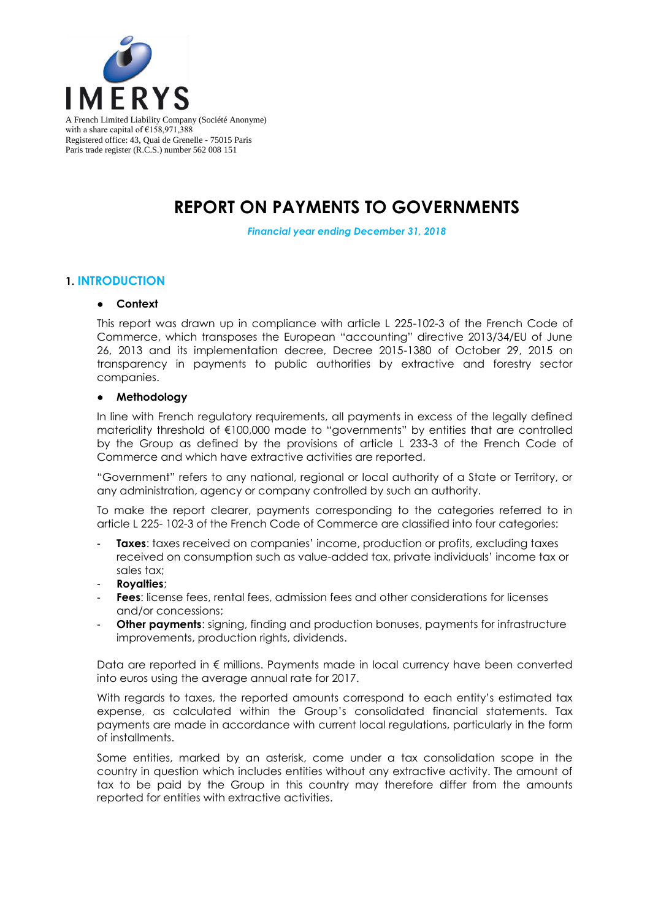

Registered office: 43, Quai de Grenelle - 75015 Paris Paris trade register (R.C.S.) number 562 008 151

# **REPORT ON PAYMENTS TO GOVERNMENTS**

*Financial year ending December 31, 2018*

### **1. INTRODUCTION**

#### ● **Context**

This report was drawn up in compliance with article L 225-102-3 of the French Code of Commerce, which transposes the European "accounting" directive 2013/34/EU of June 26, 2013 and its implementation decree, Decree 2015-1380 of October 29, 2015 on transparency in payments to public authorities by extractive and forestry sector companies.

#### ● **Methodology**

In line with French regulatory requirements, all payments in excess of the legally defined materiality threshold of €100,000 made to "governments" by entities that are controlled by the Group as defined by the provisions of article L 233-3 of the French Code of Commerce and which have extractive activities are reported.

"Government" refers to any national, regional or local authority of a State or Territory, or any administration, agency or company controlled by such an authority.

To make the report clearer, payments corresponding to the categories referred to in article L 225- 102-3 of the French Code of Commerce are classified into four categories:

- **Taxes:** taxes received on companies' income, production or profits, excluding taxes received on consumption such as value-added tax, private individuals' income tax or sales tax;
- **Royalties**;
- **Fees**: license fees, rental fees, admission fees and other considerations for licenses and/or concessions;
- **Other payments:** signing, finding and production bonuses, payments for infrastructure improvements, production rights, dividends.

Data are reported in € millions. Payments made in local currency have been converted into euros using the average annual rate for 2017.

With regards to taxes, the reported amounts correspond to each entity's estimated tax expense, as calculated within the Group's consolidated financial statements. Tax payments are made in accordance with current local regulations, particularly in the form of installments.

Some entities, marked by an asterisk, come under a tax consolidation scope in the country in question which includes entities without any extractive activity. The amount of tax to be paid by the Group in this country may therefore differ from the amounts reported for entities with extractive activities.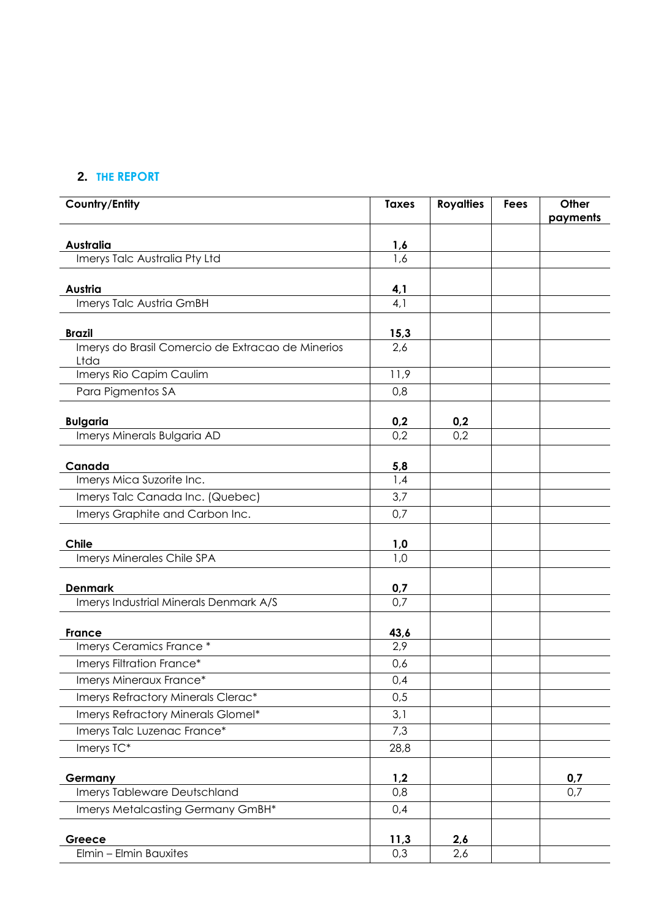## **2. THE REPORT**

| Country/Entity                                            | <b>Taxes</b> | <b>Royalties</b> | <b>Fees</b> | Other<br>payments |
|-----------------------------------------------------------|--------------|------------------|-------------|-------------------|
| <b>Australia</b>                                          | <u>1,6</u>   |                  |             |                   |
| Imerys Talc Australia Pty Ltd                             | 1,6          |                  |             |                   |
| Austria                                                   |              |                  |             |                   |
| Imerys Talc Austria GmBH                                  | 4,1<br>4,1   |                  |             |                   |
|                                                           |              |                  |             |                   |
| <b>Brazil</b>                                             | 15,3         |                  |             |                   |
| Imerys do Brasil Comercio de Extracao de Minerios<br>Ltda | 2,6          |                  |             |                   |
| Imerys Rio Capim Caulim                                   | 11,9         |                  |             |                   |
| Para Pigmentos SA                                         | 0,8          |                  |             |                   |
| <b>Bulgaria</b>                                           | 0,2          | 0,2              |             |                   |
| Imerys Minerals Bulgaria AD                               | 0,2          | 0,2              |             |                   |
|                                                           |              |                  |             |                   |
| Canada<br>Imerys Mica Suzorite Inc.                       | 5,8<br>1,4   |                  |             |                   |
| Imerys Talc Canada Inc. (Quebec)                          | 3,7          |                  |             |                   |
| Imerys Graphite and Carbon Inc.                           | 0,7          |                  |             |                   |
|                                                           |              |                  |             |                   |
| <b>Chile</b>                                              | 1,0          |                  |             |                   |
| Imerys Minerales Chile SPA                                | 1,0          |                  |             |                   |
|                                                           |              |                  |             |                   |
| <b>Denmark</b>                                            | 0,7<br>0,7   |                  |             |                   |
| Imerys Industrial Minerals Denmark A/S                    |              |                  |             |                   |
| <b>France</b>                                             | <u>43,6</u>  |                  |             |                   |
| Imerys Ceramics France *                                  | 2,9          |                  |             |                   |
| Imerys Filtration France*                                 | 0,6          |                  |             |                   |
| Imerys Mineraux France*                                   | 0,4          |                  |             |                   |
| Imerys Refractory Minerals Clerac*                        | 0,5          |                  |             |                   |
| Imerys Refractory Minerals Glomel*                        | 3,1          |                  |             |                   |
| Imerys Talc Luzenac France*                               | 7,3          |                  |             |                   |
| Imerys TC*                                                | 28,8         |                  |             |                   |
| Germany                                                   | 1,2          |                  |             | 0,7               |
| Imerys Tableware Deutschland                              | 0,8          |                  |             | 0,7               |
| Imerys Metalcasting Germany GmBH*                         | 0,4          |                  |             |                   |
| Greece                                                    | 11,3         | 2,6              |             |                   |
| Elmin - Elmin Bauxites                                    | 0,3          | 2,6              |             |                   |
|                                                           |              |                  |             |                   |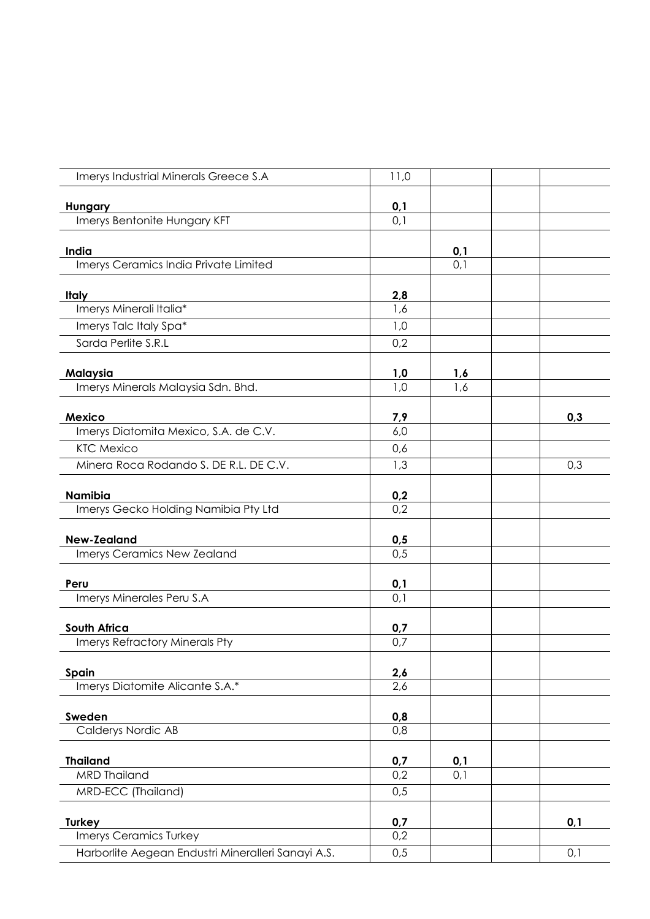| Imerys Industrial Minerals Greece S.A              | 11,0             |            |     |
|----------------------------------------------------|------------------|------------|-----|
|                                                    |                  |            |     |
| Hungary<br>Imerys Bentonite Hungary KFT            | 0,1<br>0,1       |            |     |
|                                                    |                  |            |     |
| India                                              |                  | 0,1        |     |
| Imerys Ceramics India Private Limited              |                  | 0,1        |     |
| <b>Italy</b>                                       | 2,8              |            |     |
| Imerys Minerali Italia*                            | 1,6              |            |     |
| Imerys Talc Italy Spa*                             | 1,0              |            |     |
| Sarda Perlite S.R.L                                | 0,2              |            |     |
|                                                    |                  |            |     |
| Malaysia<br>Imerys Minerals Malaysia Sdn. Bhd.     | 1,0<br>1,0       | 1,6<br>1,6 |     |
|                                                    |                  |            |     |
| <b>Mexico</b>                                      | 7,9              |            | 0,3 |
| Imerys Diatomita Mexico, S.A. de C.V.              | 6,0              |            |     |
| <b>KTC Mexico</b>                                  | 0,6              |            |     |
| Minera Roca Rodando S. DE R.L. DE C.V.             | 1,3              |            | 0,3 |
| <b>Namibia</b>                                     | 0,2              |            |     |
| Imerys Gecko Holding Namibia Pty Ltd               | 0,2              |            |     |
| <b>New-Zealand</b>                                 | 0,5              |            |     |
| Imerys Ceramics New Zealand                        | $0,\overline{5}$ |            |     |
|                                                    |                  |            |     |
| Peru                                               | 0,1              |            |     |
| Imerys Minerales Peru S.A                          | 0,1              |            |     |
| South Africa                                       | 0,7              |            |     |
| Imerys Refractory Minerals Pty                     | 0,7              |            |     |
|                                                    |                  |            |     |
| Spain                                              | 2,6              |            |     |
| Imerys Diatomite Alicante S.A.*                    | 2,6              |            |     |
| Sweden                                             | 0,8              |            |     |
| <b>Calderys Nordic AB</b>                          | 0,8              |            |     |
|                                                    |                  |            |     |
| <b>Thailand</b>                                    | 0,7              | 0,1        |     |
| <b>MRD Thailand</b>                                | 0,2              | 0,1        |     |
| MRD-ECC (Thailand)                                 | 0,5              |            |     |
| <b>Turkey</b>                                      | 0,7              |            | 0,1 |
| Imerys Ceramics Turkey                             | 0,2              |            |     |
| Harborlite Aegean Endustri Mineralleri Sanayi A.S. | 0,5              |            | 0,1 |